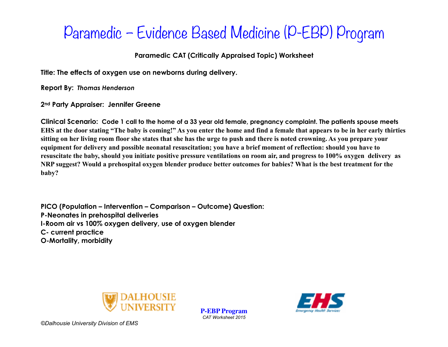### **Paramedic CAT (Critically Appraised Topic) Worksheet**

**Title: The effects of oxygen use on newborns during delivery.**

**Report By:** *Thomas Henderson*

**2nd Party Appraiser: Jennifer Greene**

**Clinical Scenario: Code 1 call to the home of a 33 year old female, pregnancy complaint. The patients spouse meets EHS at the door stating "The baby is coming!" As you enter the home and find a female that appears to be in her early thirties sitting on her living room floor she states that she has the urge to push and there is noted crowning. As you prepare your equipment for delivery and possible neonatal resuscitation; you have a brief moment of reflection: should you have to resuscitate the baby, should you initiate positive pressure ventilations on room air, and progress to 100% oxygen delivery as NRP suggest? Would a prehospital oxygen blender produce better outcomes for babies? What is the best treatment for the baby?**

**PICO (Population – Intervention – Comparison – Outcome) Question: P-Neonates in prehospital deliveries I-Room air vs 100% oxygen delivery, use of oxygen blender C- current practice O-Mortality, morbidity** 



**P-EBP Program** *CAT Worksheet 2015* 

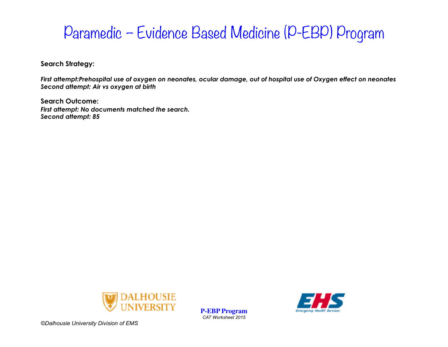**Search Strategy:** 

*First attempt:Prehospital use of oxygen on neonates, ocular damage, out of hospital use of Oxygen effect on neonates Second attempt: Air vs oxygen at birth* 

**Search Outcome:**  *First attempt: No documents matched the search. Second attempt: 85*



**P-EBP Program** *CAT Worksheet 2015* 

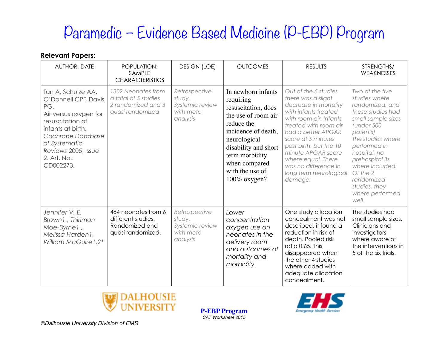### **Relevant Papers:**

| AUTHOR, DATE                                                                                                                                                                                                  | POPULATION:<br>SAMPLE<br><b>CHARACTERISTICS</b>                                      | <b>DESIGN (LOE)</b>                                                 | <b>OUTCOMES</b>                                                                                                                                                                                                                  | <b>RESULTS</b>                                                                                                                                                                                                                                                                                                                | STRENGTHS/<br>WEAKNESSES                                                                                                                                                                                                                                                                   |
|---------------------------------------------------------------------------------------------------------------------------------------------------------------------------------------------------------------|--------------------------------------------------------------------------------------|---------------------------------------------------------------------|----------------------------------------------------------------------------------------------------------------------------------------------------------------------------------------------------------------------------------|-------------------------------------------------------------------------------------------------------------------------------------------------------------------------------------------------------------------------------------------------------------------------------------------------------------------------------|--------------------------------------------------------------------------------------------------------------------------------------------------------------------------------------------------------------------------------------------------------------------------------------------|
| Tan A, Schulze AA,<br>O'Donnell CPF, Davis<br>PG.<br>Air versus oxygen for<br>resuscitation of<br>infants at birth.<br>Cochrane Database<br>of Systematic<br>Reviews 2005, Issue<br>2. Art. No.:<br>CD002273. | 1302 Neonates from<br>a total of 5 studies<br>2 randomized and 3<br>quasi randomized | Retrospective<br>study.<br>Systemic review<br>with meta<br>analysis | In newborn infants<br>requiring<br>resuscitation, does<br>the use of room air<br>reduce the<br>incidence of death,<br>neurological<br>disability and short<br>term morbidity<br>when compared<br>with the use of<br>100% oxygen? | Out of the 5 studies<br>there was a slight<br>decrease in mortality<br>with infants treated<br>with room air. Infants<br>treated with room air<br>had a better APGAR<br>score at 5 minutes<br>post birth, but the 10<br>minute APGAR score<br>where equal. There<br>was no difference in<br>long term neurological<br>damage. | Two of the five<br>studies where<br>randomized, and<br>these studies had<br>small sample sizes<br>(under 500<br>patents)<br>The studies where<br>performed in<br>hospital, no<br>prehospital its<br>where included.<br>Of the 2<br>randomized<br>studies, they<br>where performed<br>well. |
| Jennifer V. E.<br>Brown 1., Thirimon<br>Moe-Byrnel.,<br>Melissa Harden1,<br>William McGuire 1,2*                                                                                                              | 484 neonates from 6<br>different studies.<br>Randomized and<br>quasi randomized.     | Retrospective<br>study.<br>Systemic review<br>with meta<br>analysis | Lower<br>concentration<br>oxygen use on<br>neonates in the<br>delivery room<br>and outcomes of<br>mortality and<br>morbidity.                                                                                                    | One study allocation<br>concealment was not<br>described, it found a<br>reduction in risk of<br>death. Pooled risk<br>ratio 0.65. This<br>disappeared when<br>the other 4 studies<br>where added with<br>adequate allocation<br>concealment.                                                                                  | The studies had<br>small sample sizes.<br>Clinicians and<br>investigators<br>where aware of<br>the interventions in<br>5 of the six trials.                                                                                                                                                |



**P-EBP Program** *CAT Worksheet 2015* 

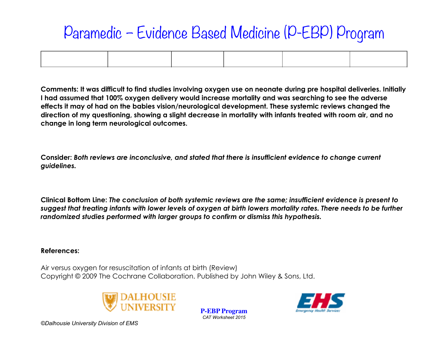**Comments: It was difficult to find studies involving oxygen use on neonate during pre hospital deliveries. Initially I had assumed that 100% oxygen delivery would increase mortality and was searching to see the adverse effects it may of had on the babies vision/neurological development. These systemic reviews changed the direction of my questioning, showing a slight decrease in mortality with infants treated with room air, and no change in long term neurological outcomes.**

**Consider:** *Both reviews are inconclusive, and stated that there is insufficient evidence to change current guidelines.*

**Clinical Bottom Line:** *The conclusion of both systemic reviews are the same; insufficient evidence is present to suggest that treating infants with lower levels of oxygen at birth lowers mortality rates. There needs to be further randomized studies performed with larger groups to confirm or dismiss this hypothesis.*

#### **References:**

Air versus oxygen for resuscitation of infants at birth (Review) Copyright © 2009 The Cochrane Collaboration. Published by John Wiley & Sons, Ltd.



**P-EBP Program** *CAT Worksheet 2015*